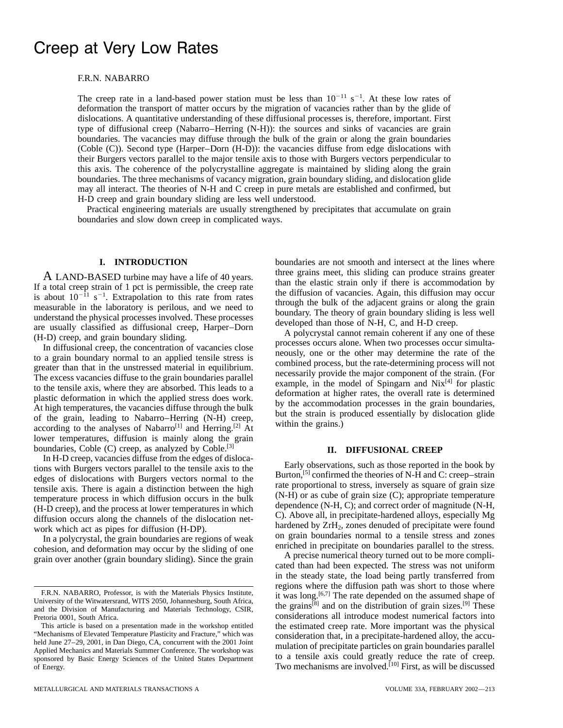# Creep at Very Low Rates

## F.R.N. NABARRO

The creep rate in a land-based power station must be less than  $10^{-11}$  s<sup>-1</sup>. At these low rates of deformation the transport of matter occurs by the migration of vacancies rather than by the glide of dislocations. A quantitative understanding of these diffusional processes is, therefore, important. First type of diffusional creep (Nabarro–Herring (N-H)): the sources and sinks of vacancies are grain boundaries. The vacancies may diffuse through the bulk of the grain or along the grain boundaries (Coble (C)). Second type (Harper–Dorn (H-D)): the vacancies diffuse from edge dislocations with their Burgers vectors parallel to the major tensile axis to those with Burgers vectors perpendicular to this axis. The coherence of the polycrystalline aggregate is maintained by sliding along the grain boundaries. The three mechanisms of vacancy migration, grain boundary sliding, and dislocation glide may all interact. The theories of N-H and C creep in pure metals are established and confirmed, but H-D creep and grain boundary sliding are less well understood.

Practical engineering materials are usually strengthened by precipitates that accumulate on grain boundaries and slow down creep in complicated ways.

lower temperatures, diffusion is mainly along the grain boundaries, Coble (C) creep, as analyzed by Coble.<sup>[3]</sup> **II. DIFFUSIONAL CREEP** In H-D creep, vacancies diffuse from the edges of disloca-

**I. INTRODUCTION** boundaries are not smooth and intersect at the lines where A LAND-BASED turbine may have a life of 40 years.<br>If a total creep strain of 1 pct is permissible, the creep rate<br>is about  $10^{-11}$  s<sup>-1</sup>. Extrapolation to this rate from rates<br>measurable in the laboratory is perilous, an

is about  $10^{-11}$  s<sup>-1</sup>. Extrapolation to this rate from rates<br>
unceauxable in the laboratory is perilous, and we need to<br>
understand the bulk of the adjacent grains or along the prain<br>
understand the physical processes i

Varions with Burgers vectors parallel to the tensile axis to the<br>
deges of dislocations with Burgers vectors parallel to the tensile axis to the<br>
deges of dislocations with Burgers vectors normal to the<br>
tensile axis and t

in the steady state, the load being partly transferred from regions where the diffusion path was short to those where F.R.N. NABARRO, Professor, is with the Materials Physics Institute,<br>University of the Witwatersrand, WITS 2050, Johannesburg, South Africa,<br>and the Division of Manufacturing and Materials Technology, CSIR,<br>Pretoria 0001, S extrimed to the Strime of the Strime of the Strime of the Strime of the Strime of the Strime of the Strime of the Strime of the estimated creep rate. More important was the physical This article is based on a presentation This article is based on a presentation made in the workshop entitled the estimated creep rate. More important was the physical "Mechanisms of Elevated Temperature Plasticity and Fracture," which was consideration that, in held June 27–29, 2001, in Dan Diego, CA, concurrent with the 2001 Joint<br>Applied Mechanics and Materials Summer Conference. The workshop was<br>sponsored by Basic Energy Sciences of the United States Department<br>to a tensile ax of Energy. Two mechanisms are involved.[10] First, as will be discussed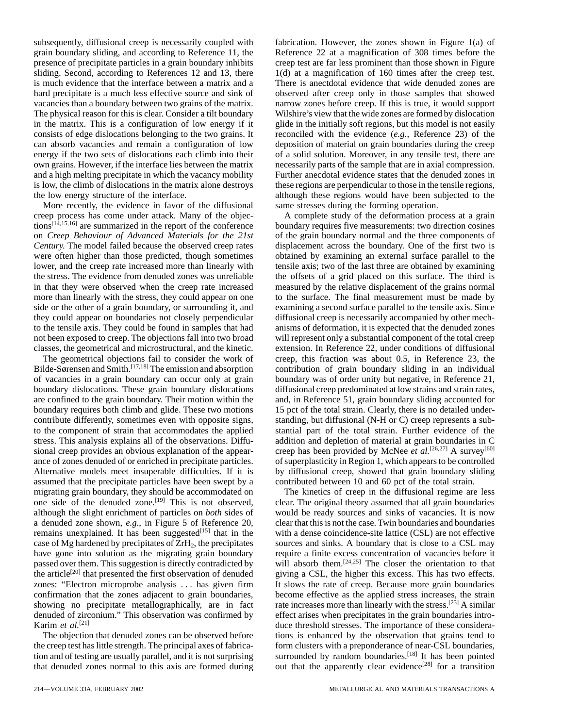grain boundary sliding, and according to Reference 11, the Reference 22 at a magnification of 308 times before the presence of precipitate particles in a grain boundary inhibits creep test are far less prominent than those shown in Figure sliding. Second, according to References 12 and 13, there  $1(d)$  at a magnification of 160 times after the creep test. is much evidence that the interface between a matrix and a There is anectdotal evidence that wide denuded zones are hard precipitate is a much less effective source and sink of observed after creep only in those samples that showed vacancies than a boundary between two grains of the matrix. narrow zones before creep. If this is true, it would support The physical reason for this is clear. Consider a tilt boundary Wilshire's view that the wide zones are formed by dislocation in the matrix. This is a configuration of low energy if it glide in the initially soft regions, but this model is not easily consists of edge dislocations belonging to the two grains. It reconciled with the evidence (*e.g.*, Reference 23) of the can absorb vacancies and remain a configuration of low deposition of material on grain boundaries during the creep energy if the two sets of dislocations each climb into their of a solid solution. Moreover, in any tensile test, there are own grains. However, if the interface lies between the matrix necessarily parts of the sample that are in axial compression. and a high melting precipitate in which the vacancy mobility Further anecdotal evidence states that the denuded zones in is low, the climb of dislocations in the matrix alone destroys these regions are perpendicular to those in the tensile regions,

More recently, the evidence in favor of the diffusional same stresses during the forming operation. creep process has come under attack. Many of the objec- A complete study of the deformation process at a grain tions<sup>[14,15,16]</sup> are summarized in the report of the conference boundary requires five measurements: two direction cosines on *Creep Behaviour of Advanced Materials for the 21st* of the grain boundary normal and the three components of *Century*. The model failed because the observed creep rates displacement across the boundary. One of the first two is were often higher than those predicted, though sometimes obtained by examining an external surface parallel to the lower, and the creep rate increased more than linearly with tensile axis; two of the last three are obtained by examining the stress. The evidence from denuded zones was unreliable the offsets of a grid placed on this surface. The third is in that they were observed when the creep rate increased measured by the relative displacement of the grains normal more than linearly with the stress, they could appear on one to the surface. The final measurement must be made by side or the other of a grain boundary, or surrounding it, and examining a second surface parallel to the tensile axis. Since they could appear on boundaries not closely perpendicular diffusional creep is necessarily accompanied by other mechto the tensile axis. They could be found in samples that had anisms of deformation, it is expected that the denuded zones not been exposed to creep. The objections fall into two broad will represent only a substantial component of the total creep classes, the geometrical and microstructural, and the kinetic. extension. In Reference 22, under conditions of diffusional

of vacancies in a grain boundary can occur only at grain boundary was of order unity but negative, in Reference 21, boundary dislocations. These grain boundary dislocations diffusional creep predominated at low strains and strain rates, are confined to the grain boundary. Their motion within the and, in Reference 51, grain boundary sliding accounted for boundary requires both climb and glide. These two motions 15 pct of the total strain. Clearly, there is no detailed undercontribute differently, sometimes even with opposite signs, standing, but diffusional (N-H or C) creep represents a subto the component of strain that accommodates the applied stantial part of the total strain. Further evidence of the stress. This analysis explains all of the observations. Diffu- addition and depletion of material at grain boundaries in C sional creep provides an obvious explanation of the appear- creep has been provided by McNee *et al.*<sup>[26,27]</sup> A survey<sup>[60]</sup> ance of zones denuded of or enriched in precipitate particles. of superplasticity in Region 1, which appears to be controlled Alternative models meet insuperable difficulties. If it is by diffusional creep, showed that grain boundary sliding assumed that the precipitate particles have been swept by a contributed between 10 and 60 pct of the total strain. migrating grain boundary, they should be accommodated on The kinetics of creep in the diffusional regime are less<br>one side of the denuded zone.<sup>[19]</sup> This is not observed. clear. The original theory assumed that all grain although the slight enrichment of particles on *both* sides of would be ready sources and sinks of vacancies. It is now a denuded zone shown, *e.g.*, in Figure 5 of Reference 20, clear that this is not the case. Twin boundaries and boundaries remains unexplained. It has been suggested<sup>[15]</sup> that in the with a dense coincidence-site lattice (CSL) are not effective case of Mg hardened by precipitates of  $ZrH_2$ , the precipitates sources and sinks. A boundary that is close to a CSL may have gone into solution as the migrating grain boundary require a finite excess concentration of va have gone into solution as the migrating grain boundary passed over them. This suggestion is directly contradicted by passed over them. This suggestion is directly contradicted by will absorb them.<sup>[24,25]</sup> The closer the orientation to that the article<sup>[20]</sup> that presented the first observation of denuded giving a CSL, the higher this e zones: "Electron microprobe analysis . . . has given firm It slows the rate of creep. Because more grain boundaries confirmation that the zones adjacent to grain boundaries, become effective as the applied stress increases, the strain showing no precipitate metallographically, are in fact rate increases more than linearly with the stress.  $[23]$  A similar denuded of zirconium." This observation was confirmed by effect arises when precipitates in the grain boundaries intro-<br>Karim *et al.*<sup>[21]</sup> duce threshold stresses. The importance of these considera-

subsequently, diffusional creep is necessarily coupled with fabrication. However, the zones shown in Figure 1(a) of the low energy structure of the interface.  $\blacksquare$  although these regions would have been subjected to the

The geometrical objections fail to consider the work of creep, this fraction was about 0.5, in Reference 23, the Bilde-Sørensen and Smith.<sup>[17,18]</sup> The emission and absorption contribution of grain boundary sliding in an i contribution of grain boundary sliding in an individual

clear. The original theory assumed that all grain boundaries giving a CSL, the higher this excess. This has two effects. duce threshold stresses. The importance of these considera-The objection that denuded zones can be observed before tions is enhanced by the observation that grains tend to the creep test has little strength. The principal axes of fabrica- form clusters with a preponderance of near-CSL boundaries, tion and of testing are usually parallel, and it is not surprising surrounded by random boundaries.<sup>[18]</sup> It has been pointed that denuded zones normal to this axis are formed during out that the apparently clear evidence<sup>[28]</sup> for a transition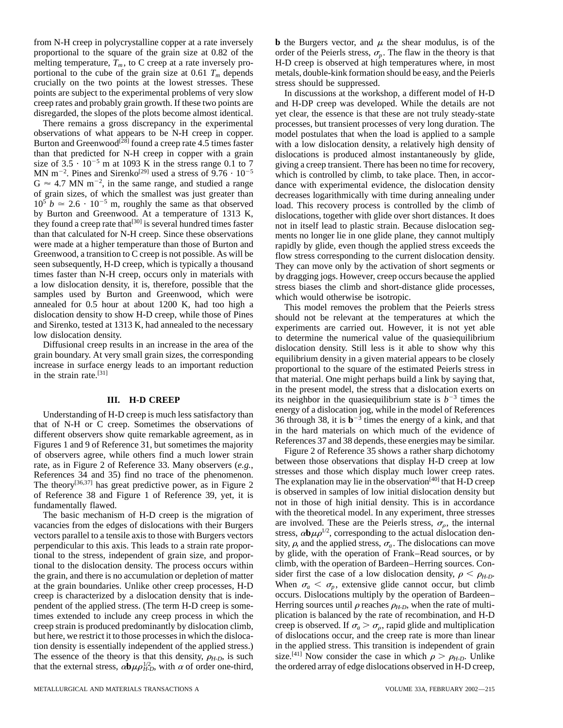from N-H creep in polycrystalline copper at a rate inversely **b** the Burgers vector, and  $\mu$  the shear modulus, is of the melting temperature,  $T_m$ , to C creep at a rate inversely pro-<br>portional to the cube of the grain size at 0.61  $T_m$  depends metals, double-kink formation should be easy, and the Peierls crucially on the two points at the lowest stresses. These stress should be suppressed. points are subject to the experimental problems of very slow In discussions at the workshop, a different model of H-D creep rates and probably grain growth. If these two points are and H-DP creep was developed. While the details are not disregarded, the slopes of the plots become almost identical. yet clear, the essence is that these are not truly steady-state

There remains a gross discrepancy in the experimental processes, but transient processes of very long duration. The observations of what appears to be N-H creep in copper. model postulates that when the load is applied to Burton and Greenwood<sup>[28]</sup> found a creep rate 4.5 times faster with a low dislocation density, a relatively high density of than that predicted for N-H creep in copper with a grain dislocations is produced almost instantaneously by glide, size of  $3.5 \cdot 10^{-5}$  m at 1093 K in the stress range 0.1 to 7 giving a creep transient. There has been no time for recovery, MN m<sup>-2</sup>. Pines and Sirenko<sup>[29]</sup> used a stress of  $9.76 \cdot 10^{-5}$  which is controlled by climb, to take place. Then, in accor- $G \approx 4.7$  MN m<sup>-2</sup>, in the same range, and studied a range<br>of grain sizes, of which the smallest was just greater than  $10^5$   $b \approx 2.6 \cdot 10^{-5}$  m, roughly the same as that observed load. This recovery process is controlled by the climb of by Burton and Greenwood. At a temperature of 1313 K, dislocations, together with glide over short distances. It does they found a creep rate that<sup>[30]</sup> is several hundred times faster not in itself lead to plastic strain. Because dislocation seg-<br>than that calculated for N-H creep. Since these observations ments no longer lie in one glid than that calculated for N-H creep. Since these observations ments no longer lie in one glide plane, they cannot multiply<br>were made at a higher temperature than those of Burton and rapidly by glide, even though the applied were made at a higher temperature than those of Burton and rapidly by glide, even though the applied stress exceeds the<br>Greenwood, a transition to C creep is not possible. As will be flow stress corresponding to the curren Greenwood, a transition to C creep is not possible. As will be<br>seen subsequently, H-D creep, which is typically a thousand<br>times factor than NH creep, cocurs only in materials with<br>a low dislocation density, it is, therefo

Understanding of H-D creep is much less satisfactory than<br>that of N-H or C creep. Sometimes the observations of<br>different observers show quite remarkable agreement, as in<br>different observers show quite remarkable agreemen

vacancies from the edges of dislocations with their Burgers are involved. These are the Peierls stress,  $\sigma_{\rho}$ , the internal vectors parallel to a tensile axis to those with Burgers vectors stress,  $\alpha \mathbf{b} \mu \rho^{1/2}$ , vectors parallel to a tensile axis to those with Burgers vectors<br>perpendicular to this axis. This leads to a strain rate propor-<br>tional to the stress, independent of grain size, and propor-<br>by glide, with the operation of tional to the stress, independent of grain size, and propor-<br>tional to the dislocation density. The process occurs within climb, with the operation of Bardeen–Herring sources. Conis tional to the dislocation density. The process occurs within climb, with the operation of Bardeen–Herring sources. Con-<br>the grain, and there is no accumulation or depletion of matter sider first the case of a low dislo the grain, and there is no accumulation or depletion of matter at the grain boundaries. Unlike other creep processes, H-D When  $\sigma_a < \sigma_p$ , extensive glide cannot occur, but climb creep is characterized by a dislocation density that is inde- occurs. Dislocations multiply by the operation of Bardeen– pendent of the applied stress. (The term H-D creep is some-<br>Herring sources until  $\rho$  reaches  $\rho_{H-D}$ , when the rate of multitimes extended to include any creep process in which the plication is balanced by the rate of recombination, and H-D but here, we restrict it to those processes in which the disloca-<br>
in the applied stress. This transition is independent of grain<br>
in the applied stress. This transition is independent of grain tion density is essentially independent of the applied stress.) The essence of the theory is that this density,  $\rho_{H-D}$ , is such size.<sup>[41]</sup> Now consider the case in which  $\rho > \rho_{H-D}$ . Unlike that the external stress,  $\alpha \mathbf{b} \mu \rho_{HD}^{1/2}$ , with  $\alpha$  of order one-third,

proportional to the square of the grain size at 0.82 of the order of the Peierls stress,  $\sigma_p$ . The flaw in the theory is that melting temperature,  $T_m$ , to C creep at a rate inversely pro-<br>H-D creep is observed at high t metals, double-kink formation should be easy, and the Peierls

> model postulates that when the load is applied to a sample dance with experimental evidence, the dislocation density decreases logarith mically with time during annealing under

that material. One might perhaps build a link by saying that, in the present model, the stress that a dislocation exerts on **III. H-D CREEP** its neighbor in the quasiequilibrium state is  $b^{-3}$  times the energy of a dislocation jog, while in the model of References

fundamentally flawed.<br>The basic mechanism of H-D creep is the migration of with the theoretical model. In any experiment, three stresses creep strain is produced predominantly by dislocation climb, creep is observed. If  $\sigma_a > \sigma_\rho$ , rapid glide and multiplication but here, we restrict it to those processes in which the dislocations of dislocations occur, an the ordered array of edge dislocations observed in H-D creep,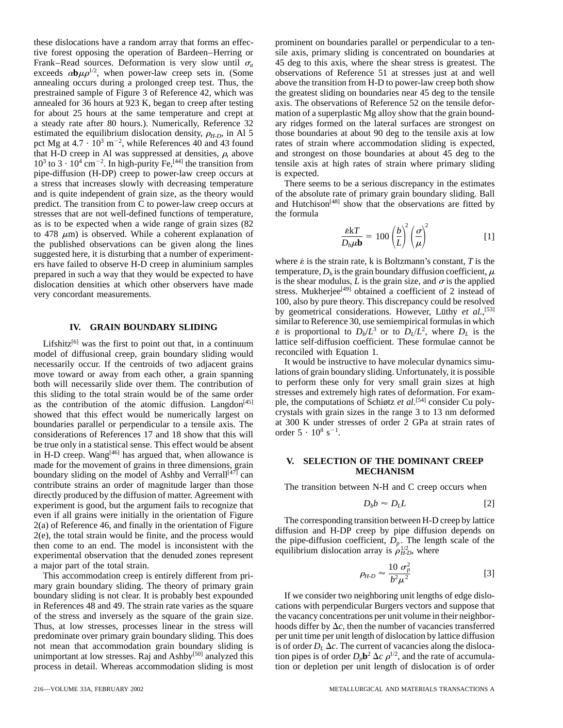these dislocations have a random array that forms an effec- prominent on boundaries parallel or perpendicular to a tentive forest opposing the operation of Bardeen–Herring or sile axis, primary sliding is concentrated on boundaries at Frank–Read sources. Deformation is very slow until  $\sigma_a$  45 deg to this axis, where the shear stress is greatest. The exceeds  $\alpha \mathbf{b} \mu \rho^{1/2}$ , when power-law creep sets in. (Some observations of Reference 51 at stress exceeds  $\alpha \mathbf{b} \mu \rho^{1/2}$ , when power-law creep sets in. (Some annealing occurs during a prolonged creep test. Thus, the above the transition from H-D to power-law creep both show prestrained sample of Figure 3 of Reference 42, which was the greatest sliding on boundaries near 45 deg to the tensile annealed for 36 hours at 923 K, began to creep after testing axis. The observations of Reference 52 on the tensile deforfor about 25 hours at the same temperature and crept at mation of a superplastic Mg alloy show that the grain bounda steady rate after 80 hours.). Numerically, Reference 32 ary ridges formed on the lateral surfaces are strongest on estimated the equilibrium dislocation density,  $\rho_{H-D}$ , in Al 5 those boundaries at about 90 deg to the tensile axis at low pct Mg at  $4.7 \cdot 10^3$  m<sup>-2</sup>, while References 40 and 43 found that H-D creep in Al was suppressed at densities,  $\rho$ , above and strongest on those boundaries at about 45 deg to the  $10^3$  to  $3 \cdot 10^4$  cm<sup>-2</sup>. In high-purity Fe,<sup>[44]</sup> the transition from pipe-diffusion (H-DP) creep to power-law creep occurs at is expected. a stress that increases slowly with decreasing temperature There seems to be a serious discrepancy in the estimates and is quite independent of grain size, as the theory would of the absolute rate of primary grain boundary sliding. Ball predict. The transition from  $\tilde{C}$  to power-law creep occurs at and Hutchison<sup>[48]</sup> show that the observations are fitted by stresses that are not well-defined functions of temperature, the formula as is to be expected when a wide range of grain sizes (82 to 478  $\mu$ m) is observed. While a coherent explanation of [1] the published observations can be given along the lines suggested here, it is disturbing that a number of experiment-<br>ers have failed to observe H-D creep in aluminium samples<br>prepared in such a way that they would be expected to have<br>dislocation densities at which other obser dislocation densities at which other observers have made<br>wery concordant measurements<br>wery concordant measurements

model of diffusional creep, grain boundary sliding would<br>necessarily occur. If the centroids of two adjacent grains lively would be instructive to have molecular dynamics simunecessarily occur. If the centroids of two adjacent grains It would be instructive to have molecular dynamics simu-<br>move toward or away from each other, a grain spanning lations of grain boundary sliding. Unfortunately, it move toward or away from each other, a grain spanning lations of grain boundary sliding. Unfortunately, it is possible<br>both will necessarily slide over them. The contribution of to perform these only for very small grain s both will necessarily slide over them. The contribution of to perform these only for very small grain sizes at high<br>this sliding to the total strain would be of the same order stresses and extremely high rates of deformati this sliding to the total strain would be of the same order<br>as the contribution of the atomic diffusion. Langdon<sup>[45]</sup> ple, the computations of Schiøtz *et al.*<sup>[54]</sup> consider Cu poly-<br>showed that this effect would be num showed that this effect would be numerically largest on crystals with grain sizes in the range 3 to 13 nm deformed<br>boundaries parallel or perpendicular to a tensile axis. The at 300 K under stresses of order 2 GPa at strai boundaries parallel or perpendicular to a tensile axis. The . considerations of References 17 and 18 show that this will be true only in a statistical sense. This effect would be absent in H-D creep. Wang<sup>[46]</sup> has argued that, when allowance is made for the movement of grains in the dimensions, grain **V. SELECTION OF THE DOMINANT CREEP**<br>houndery eliding on the model of Achby and Verrell<sup>[47]</sup> and **MECHANISM** boundary sliding on the model of Ashby and Verrall<sup>[47]</sup> can contribute strains an order of magnitude larger than those The transition between N-H and C creep occurs when directly produced by the diffusion of matter. Agreement with experiment is good, but the argument fails to recognize that even if all grains were initially in the orientation of Figure 2(a) of Reference 46, and finally in the oficial<br>of Tigure The corresponding transition between H-D creep by lattice<br>2(e), the total strain would be finite, and the process would<br>then come to an end. The model is inconsis experimental observation that the denuded zones represent a major part of the total strain.

This accommodation creep is entirely different from primary grain boundary sliding. The theory of primary grain boundary sliding is not clear. It is probably best expounded If we consider two neighboring unit lengths of edge disloin References 48 and 49. The strain rate varies as the square cations with perpendicular Burgers vectors and suppose that of the stress and inversely as the square of the grain size. the vacancy concentrations per unit volume in their neighbor-Thus, at low stresses, processes linear in the stress will hoods differ by  $\Delta c$ , then the number of vacancies transferred predominate over primary grain boundary sliding. This does per unit time per unit length of dislocation by lattice diffusion not mean that accommodation grain boundary sliding is is of order  $D<sub>L</sub> \Delta c$ . The current of v not mean that accommodation grain boundary sliding is unimportant at low stresses. Raj and Ashby<sup>[50]</sup> analyzed this process in detail. Whereas accommodation sliding is most

rates of strain where accommodation sliding is expected, tensile axis at high-rates of strain where primary sliding

$$
\frac{\mathbf{\epsilon k}T}{D_b\mu \mathbf{b}} = 100 \left(\frac{b}{L}\right)^2 \left(\frac{\sigma}{\mu}\right)^2 \tag{1}
$$

stress. Mukherjee<sup>r-94</sup> obtained a coefficient of 2 instead of very concordant measurements.<br>100, also by pure theory. This discrepancy could be resolved by geometrical considerations. However, Luthy et al.,<sup>[53]</sup> **IV.** GRAIN BOUNDARY SLIDING  $\epsilon$  is proportional to  $D_b/L^3$  or to  $D_L/L^2$ , where  $D_L$  is the Lifshitz<sup>[6]</sup> was the first to point out that, in a continuum lattice self-diffusion coefficient. These formulae cannot be recoled with Equation 1.

order  $5 \cdot 10^8$  s<sup>-1</sup>.

$$
D_b b \approx D_L L \tag{2}
$$

$$
\rho_{H\text{-}D} \approx \frac{10 \sigma_p^2}{b^2 \mu^2} \tag{3}
$$

tion pipes is of order  $D_p \mathbf{b}^2 \Delta c \rho^{1/2}$ , and the rate of accumulation or depletion per unit length of dislocation is of order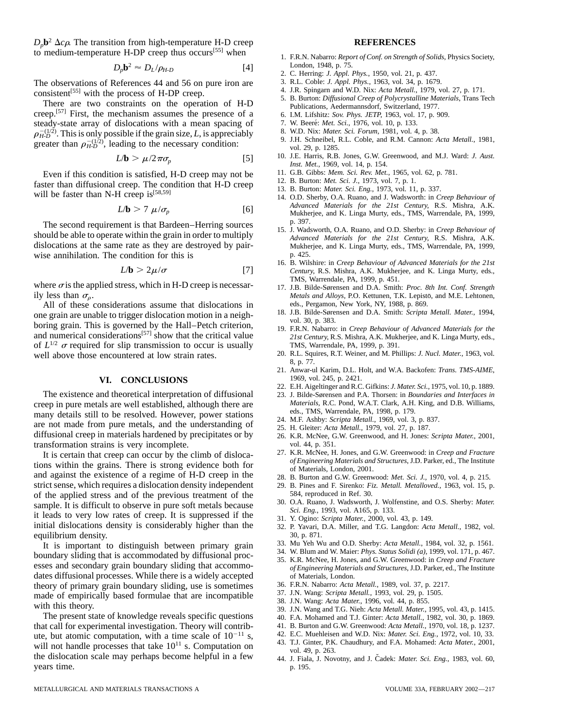$D_p \mathbf{b}^2 \Delta c \rho$ . The transition from high-temperature H-D creep **REFERENCES** 

$$
D_p \mathbf{b}^2 \approx D_L / \rho_{H \cdot D} \tag{4}
$$

The observations of References 44 and 56 on pure iron are  $\frac{3. \text{ R.L.} \text{Coble: } J. \text{ Appl.} \text{ Phys.}, 1963, \text{ vol. } 34, \text{ p. } 1679, \text{ vol. } 27, \text{ p. } 171.}$ <br>
consistent<sup>[55]</sup> with the process of H-DP creep.<br>  $\frac{5. \text{ B.} \text{ Butters.} \text{ Dif.} \$ 

There are two constraints on the operation of H-D<br>
There are two constraints on the operation of H-D<br>
eep.<sup>[57]</sup> First, the mechanism assumes the presence of a<br>
eep.<sup>[57]</sup> First, the mechanism assumes the presence of a<br>
6. creep.<sup>[57]</sup> First, the mechanism assumes the presence of a steady-state array of dislocations with a mean spacing of  $\sigma$  7. W. Beere<sup>\*</sup>: *Met. Sci.*, 1976, vol. 10, p. 133.  $\rho_{H-D}^{-(1/2)}$ . This is only possible if the grain size, L, is appreciably<br>greater than  $\rho_{H-D}^{-(1/2)}$ , leading to the necessary condition:<br>greater than  $\rho_{H-D}^{-(1/2)}$ , leading to the necessary condition:<br>yol. 29, p. 1285

$$
L/b > \mu/2\pi\sigma_p \tag{5}
$$

Even if this condition is satisfied, H-D creep may not be 11. G.B. Gibbs: *Mem. Sci. Rev. Met.*, 1965, vol. 7, p. 1.<br>12. B. Burton: *Met. Sci. J.*, 1973, vol. 7, p. 1. Faster than diffusional creep. The condition that H-D creep<br>will be faster than N-H creep is<sup>[58,59]</sup><br>14. O.D. Sherby, O.A. Ruano, and J. Wadsworth: in Creep Behaviour of

$$
L/b > 7 \ \mu/\sigma_p \tag{6}
$$

The second requirement is that Bardeen–Herring sources<br>should be able to operate within the grain in order to multiply<br>*Advanced Materials for the 21st Century*, R.S. Mishra, A.K. dislocations at the same rate as they are destroyed by pair-<br>wise annihilation. The condition for this is<br>p. 425.<br>p. 425. wise annihilation. The condition for this is

$$
L/b > 2\mu/\sigma \tag{7}
$$

where  $\sigma$  is the applied stress, which in H-D creep is necessar-<br>ily less than  $\sigma_o$ .<br>Il and Alloys, P.O. Kettunen, T.K. Lepistö, and M.E. Lehtonen,

All of these considerations assume that dislocations in eds., Pergamon, New York, NY, 1988, p. 869.<br>e grain are unable to trigger dislocation motion in a neigh. <sup>18</sup>. J.B. Bilde-Sørensen and D.A. Smith: Scripta Metall. Mat one grain are unable to trigger dislocation motion in a neigh-<br>boring grain. This is governed by the Hall–Petch criterion,<br>and numerical considerations<sup>[57]</sup> show that the critical value<br>and numerical considerations<sup>[57]</sup> of  $L^{1/2}$   $\sigma$  required for slip transmission to occur is usually TMS, Warrendale, PA, 1999, p. 391. well above those encountered at low strain rates. 20. R.L. Squires, R.T. Weiner, and M. Phillips: *J. Nucl. Mater.*, 1963, vol.

### **VI. CONCLUSIONS**

The existence and theoretical interpretation of diffusional 23. J. Bilde-Sørensen and P.A. Thorsen: in *Boundaries and Interfaces in*<br>
23. J. Bilde-Sørensen and P.A. Thorsen: in *Boundaries and Interfaces in*<br>
23. J. Bilde creep in pure metals are well established, although there are *Materials*, R.C. Pond, W.A.T. Clark, A.H. Warrendale, P.A. 1998, p. 179. many details still to be resolved. However, power stations<br>are not made from pure metals, and the understanding of<br>diffusional creep in materials hardened by precipitates or by<br>diffusional creep in materials hardened by pr

It is certain that creep can occur by the climb of disloca-<br>
tions within the grains. There is strong evidence both for<br>
and against the existence of a regime of H-D creep in the<br>
strict sense, which requires a dislocation strict sense, which requires a dislocation density independent of the applied stress and of the previous treatment of the 584, reproduced in Ref. 30.<br>
Seemple It is difficult to observe in pure soft motels because 30. O.A. Ruano, J. Wadsworth, J. Wolfenstine, and O.S. Sherby: *Mater.* sample. It is difficult to observe in pure soft metals because<br>it leads to very low rates of creep. It is suppressed if the<br>initial dislocations density is considerably higher than the<br>initial dislocations density is consi initial dislocations density is considerably higher than the equilibrium density.<br>1561. It is important to distinguish between primary grain 33. Mu Yeh Wu and O.D. Sherby: Acta Metall., 1984, vol. 32, p. 1561.

It is important to distinguish between primary grain<br>boundary sliding that is accommodated by diffusional processes and secondary grain boundary sliding that is accommodated by diffusional processes and secondary grain bou dates diffusional processes. While there is a widely accepted of Materials, London.<br>
theory of primary grain boundary sliding, use is sometimes 36. F.R.N. Nabarro: Acta Metall., 1989, vol. 37, p. 2217. theory of primary grain boundary sliding, use is sometimes<br>made of empirically based formulae that are incompatible<br>with this theory.<br>with this theory.<br>with this theory.<br>39. J.N. Wang: *Acta Mater*, 1996, vol. 44, p. 855.<br>

The present state of knowledge reveals specific questions 40. F.A. Mohamed and T.J. Ginter: *Acta Metall.*, 1982, vol. 30, p. 1869.<br>at call for experimental investigation. Theory will contrib-<br>41. B. Burton and G.W. Greenw that call for experimental investigation. Theory will contrib-<br>
41. B. Burton and G.W. Greenwood: *Acta Metall.*, 1970, vol. 18, p. 1237.<br>
42. E.C. Muehleisen and W.D. Nix: *Mater. Sci. Eng.*, 1972, vol. 10, 33. ute, but atomic computation, with a time scale of  $10^{-11}$  s, the SC. Muehleisen and W.D. Nix: *Mater. Sci. Eng.*, 1972, vol. 10, 33.<br>will not handle processes that take  $10^{11}$  s. Computation on the dislocation scale ma years time. p. 195.

- to medium-temperature H-DP creep thus occurs<sup>[55]</sup> when 1. F.R.N. Nabarro: *Report of Conf. on Strength of Solids*, Physics Society,
	- *<sup>D</sup>* London, 1948, p. 75. *<sup>p</sup>***b**<sup>2</sup> ' *DL* /<sup>r</sup>*H-D* [4] 2. C. Herring: *J. Appl. Phys.*, 1950, vol. 21, p. 437.
	-
	-
	-
	-
	-
	-
	-
	- 10. J.E. Harris, R.B. Jones, G.W. Greenwood, and M.J. Ward: *J. Aust. Inst. Met.*, 1969, vol. 14, p. 154.<br>11. G.B. Gibbs: *Mem. Sci. Rev. Met.*, 1965, vol. 62, p. 781.
	-
	-
	-
	- *Advanced Materials for the 21st Century*, R.S. Mishra, A.K. *Mukherjee*, and K. Linga Murty, eds., TMS, Warrendale, PA, 1999, p. 397.
	-
	- 16. B. Wilshire: in *Creep Behaviour of Advanced Materials for the 21st Century*, R.S. Mishra, A.K. Mukherjee, and K. Linga Murty, eds., TMS, Warrendale, PA, 1999, p. 451.
	- *Metals and Alloys*, P.O. Kettunen, T.K. Lepistö, and M.E. Lehtonen, eds., Pergamon, New York, NY, 1988, p. 869.
	-
	-
	- 8, p. 77.
	- 21. Anwar-ul Karim, D.L. Holt, and W.A. Backofen: *Trans. TMS-AIME*,
	- 22. E.H. Aigeltinger and R.C. Gifkins: *J. Mater. Sci.*, 1975, vol. 10, p. 1889.
	-
	-
	-
- transformation strains is very incomplete.<br>It is certain that creen can occur by the climb of disloca-<br>It is certain that creen can occur by the climb of disloca-<br>27. K.R. McNee, H. Jones, and G.W. Greenwood: in Creep and
	-
	-
	-
	-
	-
	-
	-
	-
	-
	-
	-
	-
	-
	-
	-
	-
	-
	-